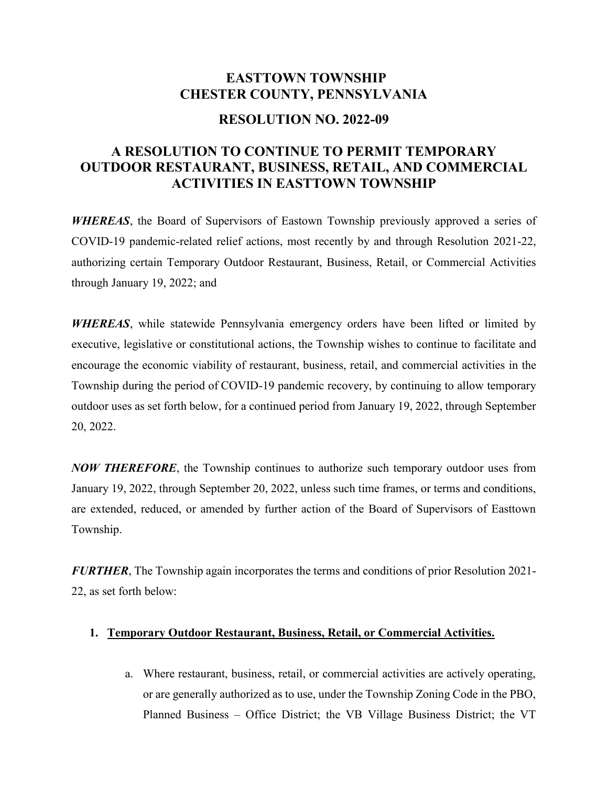## **EASTTOWN TOWNSHIP CHESTER COUNTY, PENNSYLVANIA**

## **RESOLUTION NO. 2022-09**

## **A RESOLUTION TO CONTINUE TO PERMIT TEMPORARY OUTDOOR RESTAURANT, BUSINESS, RETAIL, AND COMMERCIAL ACTIVITIES IN EASTTOWN TOWNSHIP**

*WHEREAS*, the Board of Supervisors of Eastown Township previously approved a series of COVID-19 pandemic-related relief actions, most recently by and through Resolution 2021-22, authorizing certain Temporary Outdoor Restaurant, Business, Retail, or Commercial Activities through January 19, 2022; and

*WHEREAS*, while statewide Pennsylvania emergency orders have been lifted or limited by executive, legislative or constitutional actions, the Township wishes to continue to facilitate and encourage the economic viability of restaurant, business, retail, and commercial activities in the Township during the period of COVID-19 pandemic recovery, by continuing to allow temporary outdoor uses as set forth below, for a continued period from January 19, 2022, through September 20, 2022.

*NOW THEREFORE*, the Township continues to authorize such temporary outdoor uses from January 19, 2022, through September 20, 2022, unless such time frames, or terms and conditions, are extended, reduced, or amended by further action of the Board of Supervisors of Easttown Township.

*FURTHER*, The Township again incorporates the terms and conditions of prior Resolution 2021- 22, as set forth below:

## **1. Temporary Outdoor Restaurant, Business, Retail, or Commercial Activities.**

a. Where restaurant, business, retail, or commercial activities are actively operating, or are generally authorized as to use, under the Township Zoning Code in the PBO, Planned Business – Office District; the VB Village Business District; the VT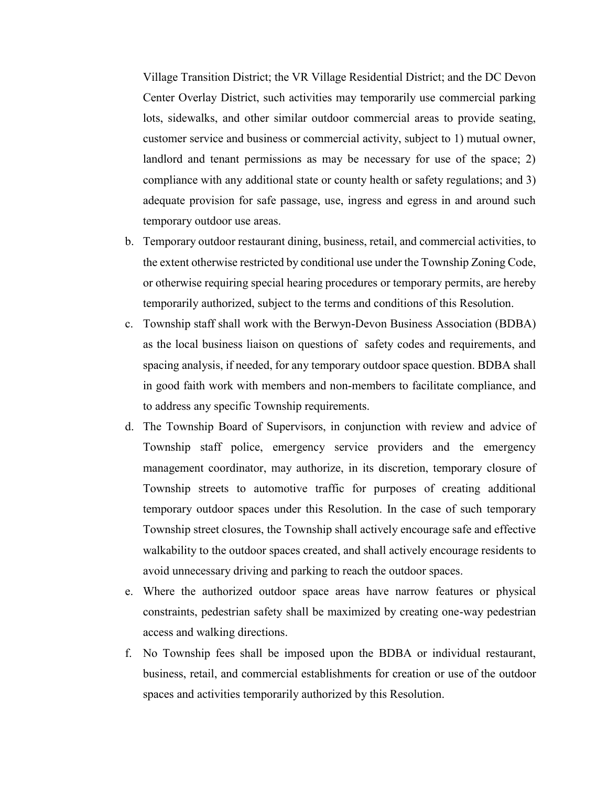Village Transition District; the VR Village Residential District; and the DC Devon Center Overlay District, such activities may temporarily use commercial parking lots, sidewalks, and other similar outdoor commercial areas to provide seating, customer service and business or commercial activity, subject to 1) mutual owner, landlord and tenant permissions as may be necessary for use of the space; 2) compliance with any additional state or county health or safety regulations; and 3) adequate provision for safe passage, use, ingress and egress in and around such temporary outdoor use areas.

- b. Temporary outdoor restaurant dining, business, retail, and commercial activities, to the extent otherwise restricted by conditional use under the Township Zoning Code, or otherwise requiring special hearing procedures or temporary permits, are hereby temporarily authorized, subject to the terms and conditions of this Resolution.
- c. Township staff shall work with the Berwyn-Devon Business Association (BDBA) as the local business liaison on questions of safety codes and requirements, and spacing analysis, if needed, for any temporary outdoor space question. BDBA shall in good faith work with members and non-members to facilitate compliance, and to address any specific Township requirements.
- d. The Township Board of Supervisors, in conjunction with review and advice of Township staff police, emergency service providers and the emergency management coordinator, may authorize, in its discretion, temporary closure of Township streets to automotive traffic for purposes of creating additional temporary outdoor spaces under this Resolution. In the case of such temporary Township street closures, the Township shall actively encourage safe and effective walkability to the outdoor spaces created, and shall actively encourage residents to avoid unnecessary driving and parking to reach the outdoor spaces.
- e. Where the authorized outdoor space areas have narrow features or physical constraints, pedestrian safety shall be maximized by creating one-way pedestrian access and walking directions.
- f. No Township fees shall be imposed upon the BDBA or individual restaurant, business, retail, and commercial establishments for creation or use of the outdoor spaces and activities temporarily authorized by this Resolution.